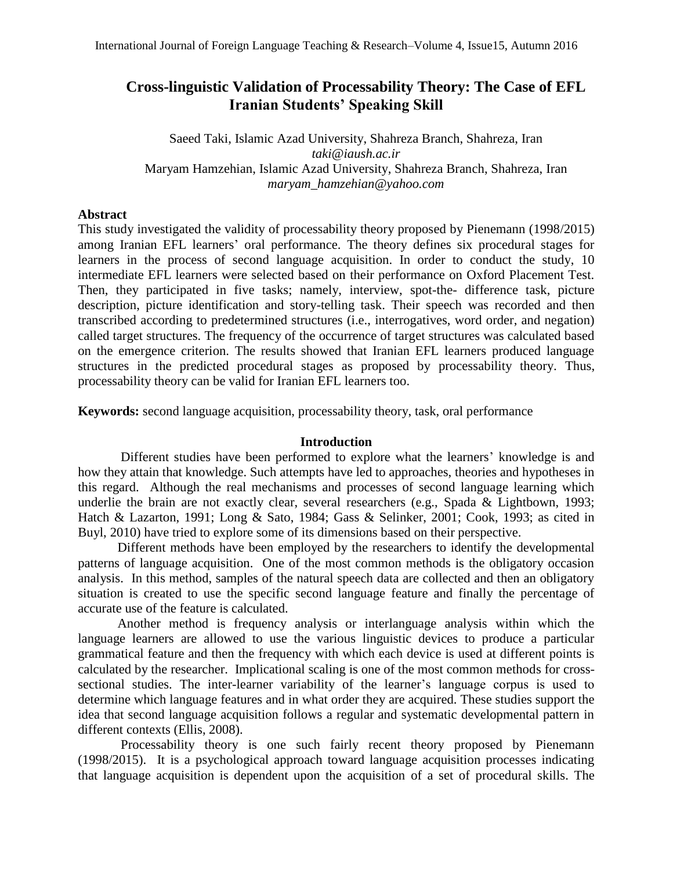# **Cross-linguistic Validation of Processability Theory: The Case of EFL Iranian Students' Speaking Skill**

Saeed Taki, Islamic Azad University, Shahreza Branch, Shahreza, Iran *taki@iaush.ac.ir* Maryam Hamzehian, Islamic Azad University, Shahreza Branch, Shahreza, Iran *maryam\_hamzehian@yahoo.com*

## **Abstract**

This study investigated the validity of processability theory proposed by Pienemann (1998/2015) among Iranian EFL learners' oral performance. The theory defines six procedural stages for learners in the process of second language acquisition. In order to conduct the study, 10 intermediate EFL learners were selected based on their performance on Oxford Placement Test. Then, they participated in five tasks; namely, interview, spot-the- difference task, picture description, picture identification and story-telling task. Their speech was recorded and then transcribed according to predetermined structures (i.e., interrogatives, word order, and negation) called target structures. The frequency of the occurrence of target structures was calculated based on the emergence criterion. The results showed that Iranian EFL learners produced language structures in the predicted procedural stages as proposed by processability theory. Thus, processability theory can be valid for Iranian EFL learners too.

**Keywords:** second language acquisition, processability theory, task, oral performance

## **Introduction**

 Different studies have been performed to explore what the learners' knowledge is and how they attain that knowledge. Such attempts have led to approaches, theories and hypotheses in this regard. Although the real mechanisms and processes of second language learning which underlie the brain are not exactly clear, several researchers (e.g., Spada & Lightbown, 1993; Hatch & Lazarton, 1991; Long & Sato, 1984; Gass & Selinker, 2001; Cook, 1993; as cited in Buyl, 2010) have tried to explore some of its dimensions based on their perspective.

 Different methods have been employed by the researchers to identify the developmental patterns of language acquisition. One of the most common methods is the obligatory occasion analysis. In this method, samples of the natural speech data are collected and then an obligatory situation is created to use the specific second language feature and finally the percentage of accurate use of the feature is calculated.

Another method is frequency analysis or interlanguage analysis within which the language learners are allowed to use the various linguistic devices to produce a particular grammatical feature and then the frequency with which each device is used at different points is calculated by the researcher. Implicational scaling is one of the most common methods for crosssectional studies. The inter-learner variability of the learner's language corpus is used to determine which language features and in what order they are acquired. These studies support the idea that second language acquisition follows a regular and systematic developmental pattern in different contexts (Ellis, 2008).

 Processability theory is one such fairly recent theory proposed by Pienemann (1998/2015). It is a psychological approach toward language acquisition processes indicating that language acquisition is dependent upon the acquisition of a set of procedural skills. The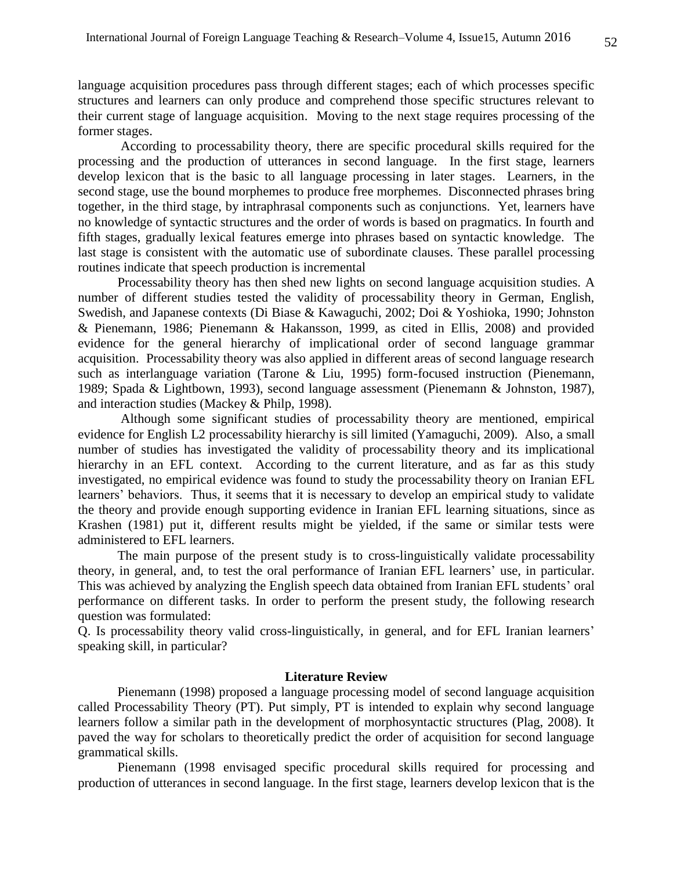language acquisition procedures pass through different stages; each of which processes specific structures and learners can only produce and comprehend those specific structures relevant to their current stage of language acquisition. Moving to the next stage requires processing of the former stages.

 According to processability theory, there are specific procedural skills required for the processing and the production of utterances in second language. In the first stage, learners develop lexicon that is the basic to all language processing in later stages. Learners, in the second stage, use the bound morphemes to produce free morphemes. Disconnected phrases bring together, in the third stage, by intraphrasal components such as conjunctions. Yet, learners have no knowledge of syntactic structures and the order of words is based on pragmatics. In fourth and fifth stages, gradually lexical features emerge into phrases based on syntactic knowledge. The last stage is consistent with the automatic use of subordinate clauses. These parallel processing routines indicate that speech production is incremental

 Processability theory has then shed new lights on second language acquisition studies. A number of different studies tested the validity of processability theory in German, English, Swedish, and Japanese contexts (Di Biase & Kawaguchi, 2002; Doi & Yoshioka, 1990; Johnston & Pienemann, 1986; Pienemann & Hakansson, 1999, as cited in Ellis, 2008) and provided evidence for the general hierarchy of implicational order of second language grammar acquisition. Processability theory was also applied in different areas of second language research such as interlanguage variation (Tarone & Liu, 1995) form-focused instruction (Pienemann, 1989; Spada & Lightbown, 1993), second language assessment (Pienemann & Johnston, 1987), and interaction studies (Mackey & Philp, 1998).

 Although some significant studies of processability theory are mentioned, empirical evidence for English L2 processability hierarchy is sill limited (Yamaguchi, 2009). Also, a small number of studies has investigated the validity of processability theory and its implicational hierarchy in an EFL context. According to the current literature, and as far as this study investigated, no empirical evidence was found to study the processability theory on Iranian EFL learners' behaviors. Thus, it seems that it is necessary to develop an empirical study to validate the theory and provide enough supporting evidence in Iranian EFL learning situations, since as Krashen (1981) put it, different results might be yielded, if the same or similar tests were administered to EFL learners.

 The main purpose of the present study is to cross-linguistically validate processability theory, in general, and, to test the oral performance of Iranian EFL learners' use, in particular. This was achieved by analyzing the English speech data obtained from Iranian EFL students' oral performance on different tasks. In order to perform the present study, the following research question was formulated:

Q. Is processability theory valid cross-linguistically, in general, and for EFL Iranian learners' speaking skill, in particular?

## **Literature Review**

Pienemann (1998) proposed a language processing model of second language acquisition called Processability Theory (PT). Put simply, PT is intended to explain why second language learners follow a similar path in the development of morphosyntactic structures (Plag, 2008). It paved the way for scholars to theoretically predict the order of acquisition for second language grammatical skills.

Pienemann (1998 envisaged specific procedural skills required for processing and production of utterances in second language. In the first stage, learners develop lexicon that is the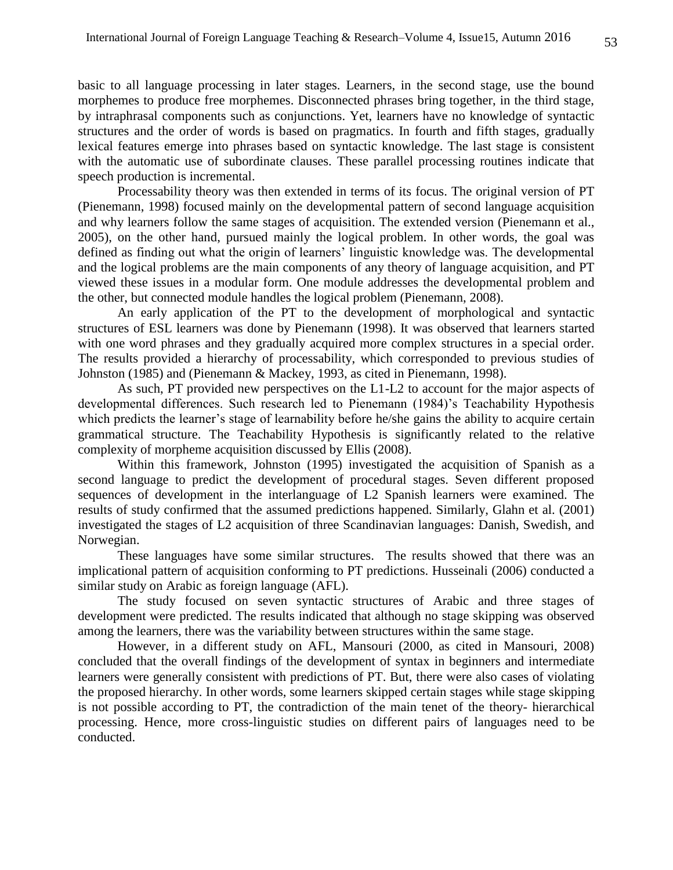basic to all language processing in later stages. Learners, in the second stage, use the bound morphemes to produce free morphemes. Disconnected phrases bring together, in the third stage, by intraphrasal components such as conjunctions. Yet, learners have no knowledge of syntactic structures and the order of words is based on pragmatics. In fourth and fifth stages, gradually lexical features emerge into phrases based on syntactic knowledge. The last stage is consistent with the automatic use of subordinate clauses. These parallel processing routines indicate that speech production is incremental.

Processability theory was then extended in terms of its focus. The original version of PT (Pienemann, 1998) focused mainly on the developmental pattern of second language acquisition and why learners follow the same stages of acquisition. The extended version (Pienemann et al., 2005), on the other hand, pursued mainly the logical problem. In other words, the goal was defined as finding out what the origin of learners' linguistic knowledge was. The developmental and the logical problems are the main components of any theory of language acquisition, and PT viewed these issues in a modular form. One module addresses the developmental problem and the other, but connected module handles the logical problem (Pienemann, 2008).

An early application of the PT to the development of morphological and syntactic structures of ESL learners was done by Pienemann (1998). It was observed that learners started with one word phrases and they gradually acquired more complex structures in a special order. The results provided a hierarchy of processability, which corresponded to previous studies of Johnston (1985) and (Pienemann & Mackey, 1993, as cited in Pienemann, 1998).

As such, PT provided new perspectives on the L1-L2 to account for the major aspects of developmental differences. Such research led to Pienemann (1984)'s Teachability Hypothesis which predicts the learner's stage of learnability before he/she gains the ability to acquire certain grammatical structure. The Teachability Hypothesis is significantly related to the relative complexity of morpheme acquisition discussed by Ellis (2008).

Within this framework, Johnston (1995) investigated the acquisition of Spanish as a second language to predict the development of procedural stages. Seven different proposed sequences of development in the interlanguage of L2 Spanish learners were examined. The results of study confirmed that the assumed predictions happened. Similarly, Glahn et al. (2001) investigated the stages of L2 acquisition of three Scandinavian languages: Danish, Swedish, and Norwegian.

These languages have some similar structures. The results showed that there was an implicational pattern of acquisition conforming to PT predictions. Husseinali (2006) conducted a similar study on Arabic as foreign language (AFL).

The study focused on seven syntactic structures of Arabic and three stages of development were predicted. The results indicated that although no stage skipping was observed among the learners, there was the variability between structures within the same stage.

However, in a different study on AFL, Mansouri (2000, as cited in Mansouri, 2008) concluded that the overall findings of the development of syntax in beginners and intermediate learners were generally consistent with predictions of PT. But, there were also cases of violating the proposed hierarchy. In other words, some learners skipped certain stages while stage skipping is not possible according to PT, the contradiction of the main tenet of the theory- hierarchical processing. Hence, more cross-linguistic studies on different pairs of languages need to be conducted.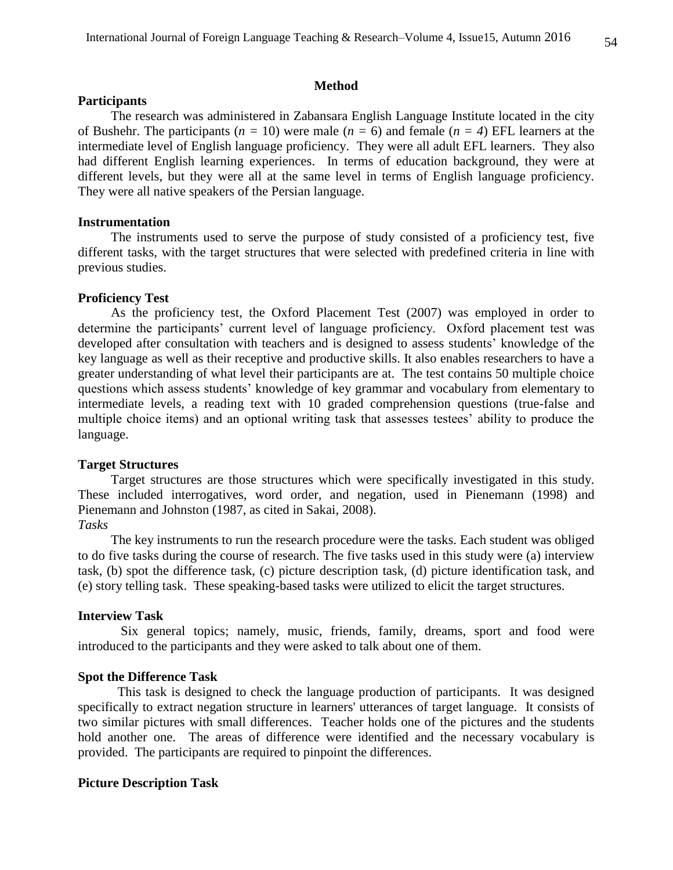### **Method**

## **Participants**

 The research was administered in Zabansara English Language Institute located in the city of Bushehr. The participants (*n =* 10) were male (*n =* 6) and female (*n = 4*) EFL learners at the intermediate level of English language proficiency. They were all adult EFL learners. They also had different English learning experiences. In terms of education background, they were at different levels, but they were all at the same level in terms of English language proficiency. They were all native speakers of the Persian language.

#### **Instrumentation**

 The instruments used to serve the purpose of study consisted of a proficiency test, five different tasks, with the target structures that were selected with predefined criteria in line with previous studies.

#### **Proficiency Test**

 As the proficiency test, the Oxford Placement Test (2007) was employed in order to determine the participants' current level of language proficiency. Oxford placement test was developed after consultation with teachers and is designed to assess students' knowledge of the key language as well as their receptive and productive skills. It also enables researchers to have a greater understanding of what level their participants are at. The test contains 50 multiple choice questions which assess students' knowledge of key grammar and vocabulary from elementary to intermediate levels, a reading text with 10 graded comprehension questions (true-false and multiple choice items) and an optional writing task that assesses testees' ability to produce the language.

#### **Target Structures**

 Target structures are those structures which were specifically investigated in this study. These included interrogatives, word order, and negation, used in Pienemann (1998) and Pienemann and Johnston (1987, as cited in Sakai, 2008).

## *Tasks*

The key instruments to run the research procedure were the tasks. Each student was obliged to do five tasks during the course of research. The five tasks used in this study were (a) interview task, (b) spot the difference task, (c) picture description task, (d) picture identification task, and (e) story telling task. These speaking-based tasks were utilized to elicit the target structures.

### **Interview Task**

 Six general topics; namely, music, friends, family, dreams, sport and food were introduced to the participants and they were asked to talk about one of them.

## **Spot the Difference Task**

 This task is designed to check the language production of participants. It was designed specifically to extract negation structure in learners' utterances of target language. It consists of two similar pictures with small differences. Teacher holds one of the pictures and the students hold another one. The areas of difference were identified and the necessary vocabulary is provided. The participants are required to pinpoint the differences.

#### **Picture Description Task**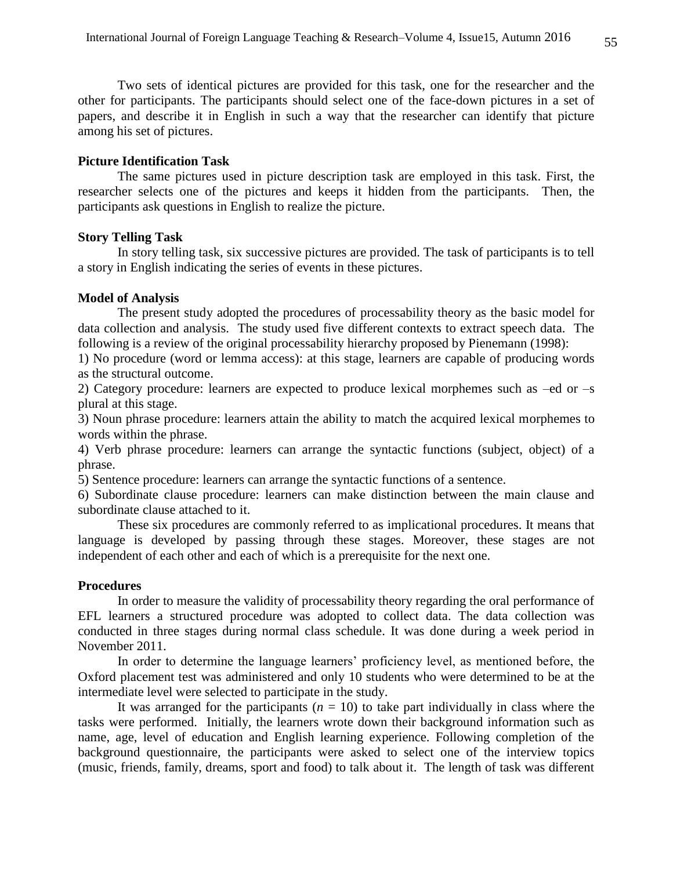Two sets of identical pictures are provided for this task, one for the researcher and the other for participants. The participants should select one of the face-down pictures in a set of papers, and describe it in English in such a way that the researcher can identify that picture among his set of pictures.

#### **Picture Identification Task**

 The same pictures used in picture description task are employed in this task. First, the researcher selects one of the pictures and keeps it hidden from the participants. Then, the participants ask questions in English to realize the picture.

#### **Story Telling Task**

 In story telling task, six successive pictures are provided. The task of participants is to tell a story in English indicating the series of events in these pictures.

## **Model of Analysis**

 The present study adopted the procedures of processability theory as the basic model for data collection and analysis. The study used five different contexts to extract speech data. The following is a review of the original processability hierarchy proposed by Pienemann (1998):

1) No procedure (word or lemma access): at this stage, learners are capable of producing words as the structural outcome.

2) Category procedure: learners are expected to produce lexical morphemes such as –ed or –s plural at this stage.

3) Noun phrase procedure: learners attain the ability to match the acquired lexical morphemes to words within the phrase.

4) Verb phrase procedure: learners can arrange the syntactic functions (subject, object) of a phrase.

5) Sentence procedure: learners can arrange the syntactic functions of a sentence.

6) Subordinate clause procedure: learners can make distinction between the main clause and subordinate clause attached to it.

 These six procedures are commonly referred to as implicational procedures. It means that language is developed by passing through these stages. Moreover, these stages are not independent of each other and each of which is a prerequisite for the next one.

## **Procedures**

 In order to measure the validity of processability theory regarding the oral performance of EFL learners a structured procedure was adopted to collect data. The data collection was conducted in three stages during normal class schedule. It was done during a week period in November 2011.

 In order to determine the language learners' proficiency level, as mentioned before, the Oxford placement test was administered and only 10 students who were determined to be at the intermediate level were selected to participate in the study.

It was arranged for the participants  $(n = 10)$  to take part individually in class where the tasks were performed. Initially, the learners wrote down their background information such as name, age, level of education and English learning experience. Following completion of the background questionnaire, the participants were asked to select one of the interview topics (music, friends, family, dreams, sport and food) to talk about it. The length of task was different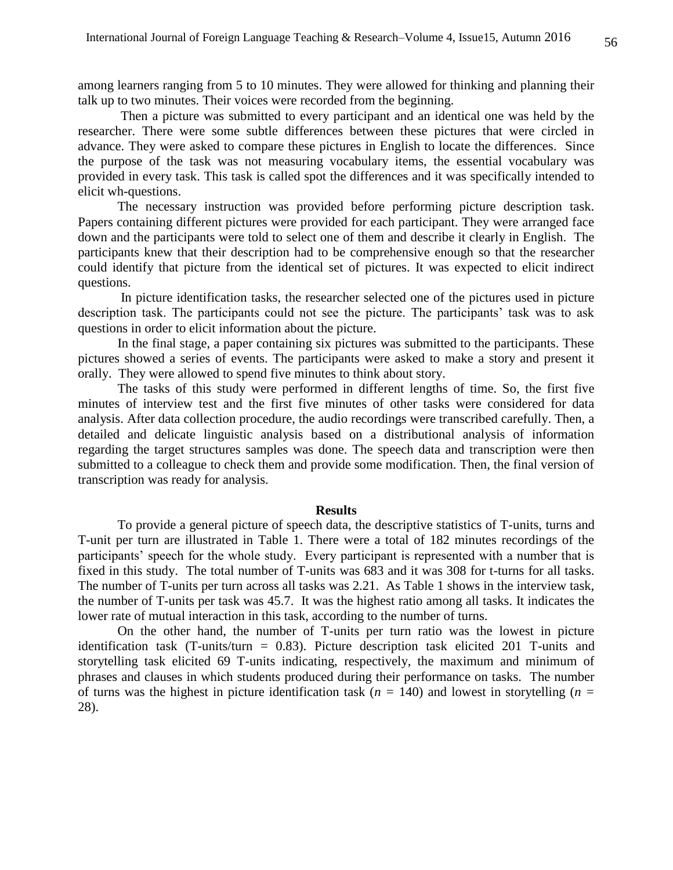among learners ranging from 5 to 10 minutes. They were allowed for thinking and planning their talk up to two minutes. Their voices were recorded from the beginning.

 Then a picture was submitted to every participant and an identical one was held by the researcher. There were some subtle differences between these pictures that were circled in advance. They were asked to compare these pictures in English to locate the differences. Since the purpose of the task was not measuring vocabulary items, the essential vocabulary was provided in every task. This task is called spot the differences and it was specifically intended to elicit wh-questions.

 The necessary instruction was provided before performing picture description task. Papers containing different pictures were provided for each participant. They were arranged face down and the participants were told to select one of them and describe it clearly in English. The participants knew that their description had to be comprehensive enough so that the researcher could identify that picture from the identical set of pictures. It was expected to elicit indirect questions.

 In picture identification tasks, the researcher selected one of the pictures used in picture description task. The participants could not see the picture. The participants' task was to ask questions in order to elicit information about the picture.

 In the final stage, a paper containing six pictures was submitted to the participants. These pictures showed a series of events. The participants were asked to make a story and present it orally. They were allowed to spend five minutes to think about story.

 The tasks of this study were performed in different lengths of time. So, the first five minutes of interview test and the first five minutes of other tasks were considered for data analysis. After data collection procedure, the audio recordings were transcribed carefully. Then, a detailed and delicate linguistic analysis based on a distributional analysis of information regarding the target structures samples was done. The speech data and transcription were then submitted to a colleague to check them and provide some modification. Then, the final version of transcription was ready for analysis.

#### **Results**

 To provide a general picture of speech data, the descriptive statistics of T-units, turns and T-unit per turn are illustrated in Table 1. There were a total of 182 minutes recordings of the participants' speech for the whole study. Every participant is represented with a number that is fixed in this study. The total number of T-units was 683 and it was 308 for t-turns for all tasks. The number of T-units per turn across all tasks was 2.21. As Table 1 shows in the interview task, the number of T-units per task was 45.7. It was the highest ratio among all tasks. It indicates the lower rate of mutual interaction in this task, according to the number of turns.

On the other hand, the number of T-units per turn ratio was the lowest in picture identification task (T-units/turn = 0.83). Picture description task elicited 201 T-units and storytelling task elicited 69 T-units indicating, respectively, the maximum and minimum of phrases and clauses in which students produced during their performance on tasks. The number of turns was the highest in picture identification task ( $n = 140$ ) and lowest in storytelling ( $n =$ 28).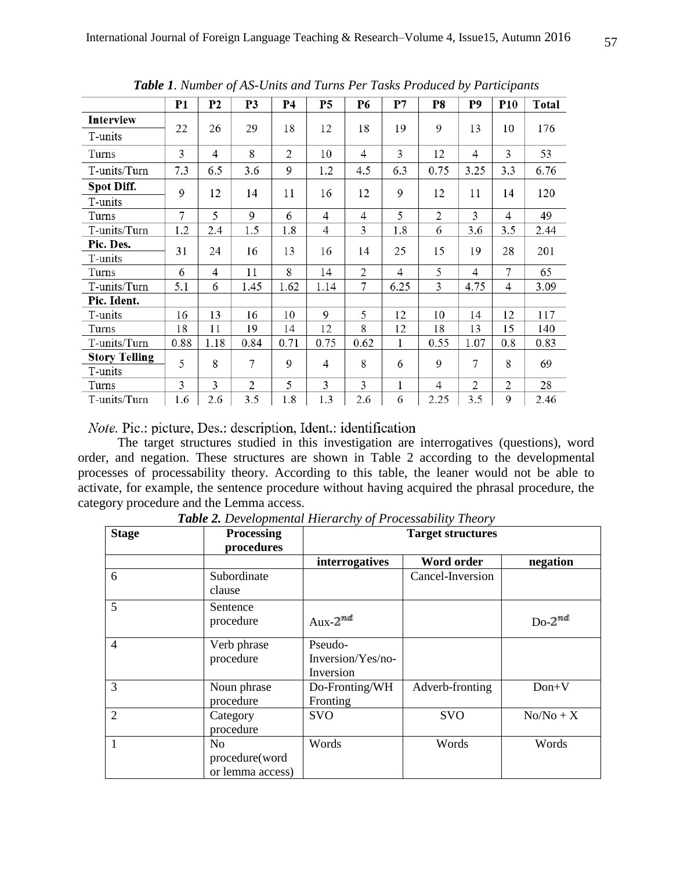|                      | <b>P1</b> | P <sub>2</sub> | P3             | Р4             | P <sub>5</sub> | P6             | P7             | P8             | P9             | <b>P10</b>     | Total |
|----------------------|-----------|----------------|----------------|----------------|----------------|----------------|----------------|----------------|----------------|----------------|-------|
| Interview            | 22        |                | 29             | 18             | 12             | 18             | 19             | 9              | 13             | 10             | 176   |
| T-units              |           | 26             |                |                |                |                |                |                |                |                |       |
| Turns                | 3         | 4              | 8              | $\overline{2}$ | 10             | 4              | 3              | 12             | $\overline{4}$ | $\overline{3}$ | 53    |
| T-units/Turn         | 7.3       | 6.5            | 3.6            | 9              | 1.2            | 4.5            | 6.3            | 0.75           | 3.25           | 3.3            | 6.76  |
| Spot Diff.           | 9         | 12             | 14             | 11             | 16             | 12             | 9              | 12             | 11             | 14             | 120   |
| T-units              |           |                |                |                |                |                |                |                |                |                |       |
| Turns                | 7         | 5              | 9              | 6              | 4              | 4              | 5              | $\overline{2}$ | 3              | 4              | 49    |
| T-units/Turn         | 1.2       | 2.4            | 1.5            | 1.8            | 4              | 3              | 1.8            | 6              | 3.6            | 3.5            | 2.44  |
| Pic. Des.            | 31        | 24             | 16             | 13             | 16             | 14             | 25             | 15             | 19             | 28             | 201   |
| T-units              |           |                |                |                |                |                |                |                |                |                |       |
| Turns                | 6         | 4              | 11             | 8              | 14             | $\overline{2}$ | $\overline{4}$ | 5              | 4              | $\overline{7}$ | 65    |
| T-units/Turn         | 5.1       | 6              | 1.45           | 1.62           | 1.14           | 7              | 6.25           | 3              | 4.75           | 4              | 3.09  |
| Pic. Ident.          |           |                |                |                |                |                |                |                |                |                |       |
| T-units              | 16        | 13             | 16             | 10             | 9              | 5              | 12             | 10             | 14             | 12             | 117   |
| Turns                | 18        | 11             | 19             | 14             | 12             | 8              | 12             | 18             | 13             | 15             | 140   |
| T-units/Turn         | 0.88      | 1.18           | 0.84           | 0.71           | 0.75           | 0.62           | 1              | 0.55           | 1.07           | 0.8            | 0.83  |
| <b>Story Telling</b> | 5         | 8              | 7              | 9              | 4              | 8              | 6              | 9              | 7              | 8              | 69    |
| T-units              |           |                |                |                |                |                |                |                |                |                |       |
| Turns                | 3         | 3              | $\overline{2}$ | 5              | 3              | 3              | $\mathbf 1$    | $\overline{4}$ | $\overline{2}$ | $\mathfrak{2}$ | 28    |
| T-units/Turn         | 1.6       | 2.6            | 3.5            | 1.8            | 1.3            | 2.6            | 6              | 2.25           | 3.5            | 9              | 2.46  |

*Table 1. Number of AS-Units and Turns Per Tasks Produced by Participants*

## *Note.* Pic.: picture, Des.: description, Ident.: identification

 The target structures studied in this investigation are interrogatives (questions), word order, and negation. These structures are shown in Table 2 according to the developmental processes of processability theory. According to this table, the leaner would not be able to activate, for example, the sentence procedure without having acquired the phrasal procedure, the category procedure and the Lemma access.

| <b>Stage</b>   | <b>Processing</b>                                    | <b>Target structures</b>                  |                  |             |  |  |  |  |
|----------------|------------------------------------------------------|-------------------------------------------|------------------|-------------|--|--|--|--|
|                | procedures                                           |                                           |                  |             |  |  |  |  |
|                |                                                      | interrogatives                            | Word order       | negation    |  |  |  |  |
| 6              | Subordinate<br>clause                                |                                           | Cancel-Inversion |             |  |  |  |  |
| 5              | Sentence<br>procedure                                | Aux- $2^{nd}$                             |                  | $Do-2^{nd}$ |  |  |  |  |
| $\overline{4}$ | Verb phrase<br>procedure                             | Pseudo-<br>Inversion/Yes/no-<br>Inversion |                  |             |  |  |  |  |
| 3              | Noun phrase<br>procedure                             | Do-Fronting/WH<br>Fronting                | Adverb-fronting  | $Don+V$     |  |  |  |  |
| $\overline{2}$ | Category<br>procedure                                | <b>SVO</b>                                | <b>SVO</b>       | $No/No + X$ |  |  |  |  |
|                | N <sub>0</sub><br>procedure(word<br>or lemma access) | Words                                     | Words            | Words       |  |  |  |  |

*Table 2. Developmental Hierarchy of Processability Theory*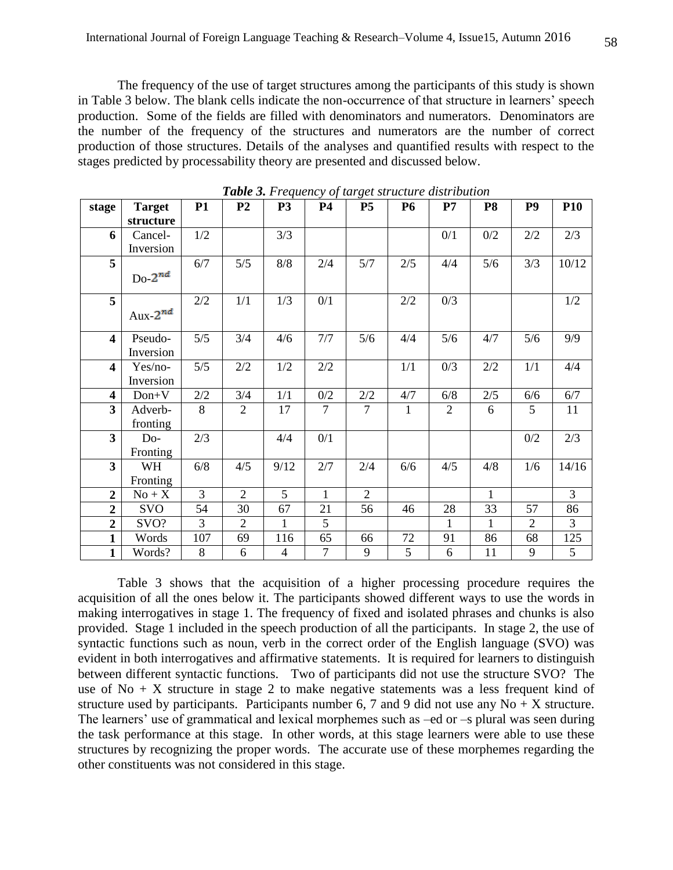The frequency of the use of target structures among the participants of this study is shown in Table 3 below. The blank cells indicate the non-occurrence of that structure in learners' speech production. Some of the fields are filled with denominators and numerators. Denominators are the number of the frequency of the structures and numerators are the number of correct production of those structures. Details of the analyses and quantified results with respect to the stages predicted by processability theory are presented and discussed below.

| stage                   | <b>Target</b> | <b>P1</b>      | P <sub>2</sub> | <b>P3</b>      | <b>P4</b>      | P <sub>5</sub> | <b>P6</b>    | P7             | P <sub>8</sub> | P <sub>9</sub> | P <sub>10</sub> |
|-------------------------|---------------|----------------|----------------|----------------|----------------|----------------|--------------|----------------|----------------|----------------|-----------------|
|                         | structure     |                |                |                |                |                |              |                |                |                |                 |
| 6                       | Cancel-       | 1/2            |                | 3/3            |                |                |              | 0/1            | 0/2            | 2/2            | 2/3             |
|                         | Inversion     |                |                |                |                |                |              |                |                |                |                 |
| 5                       |               | 6/7            | 5/5            | $8/8$          | 2/4            | 5/7            | 2/5          | 4/4            | 5/6            | 3/3            | 10/12           |
|                         | Do $2^{nd}$   |                |                |                |                |                |              |                |                |                |                 |
| $\overline{5}$          |               | 2/2            | 1/1            | 1/3            | 0/1            |                | $2/2$        | 0/3            |                |                | $1/2$           |
|                         | Aux- $2^{nd}$ |                |                |                |                |                |              |                |                |                |                 |
| $\overline{\mathbf{4}}$ | Pseudo-       | 5/5            | 3/4            | 4/6            | 7/7            | 5/6            | 4/4          | 5/6            | 4/7            | 5/6            | 9/9             |
|                         | Inversion     |                |                |                |                |                |              |                |                |                |                 |
| $\overline{\mathbf{4}}$ | Yes/no-       | 5/5            | 2/2            | 1/2            | 2/2            |                | 1/1          | 0/3            | $2/2$          | 1/1            | 4/4             |
|                         | Inversion     |                |                |                |                |                |              |                |                |                |                 |
| 4                       | $Don+V$       | 2/2            | 3/4            | 1/1            | 0/2            | 2/2            | 4/7          | 6/8            | 2/5            | 6/6            | 6/7             |
| $\overline{\mathbf{3}}$ | Adverb-       | 8              | $\overline{2}$ | 17             | $\overline{7}$ | $\overline{7}$ | $\mathbf{1}$ | $\overline{2}$ | 6              | 5              | 11              |
|                         | fronting      |                |                |                |                |                |              |                |                |                |                 |
| $\overline{\mathbf{3}}$ | Do-           | 2/3            |                | 4/4            | 0/1            |                |              |                |                | 0/2            | 2/3             |
|                         | Fronting      |                |                |                |                |                |              |                |                |                |                 |
| 3                       | WH            | 6/8            | 4/5            | 9/12           | 2/7            | 2/4            | 6/6          | 4/5            | 4/8            | 1/6            | 14/16           |
|                         | Fronting      |                |                |                |                |                |              |                |                |                |                 |
| $\overline{2}$          | $No + X$      | $\overline{3}$ | $\overline{2}$ | 5              | $\mathbf{1}$   | $\overline{2}$ |              |                | $\mathbf{1}$   |                | 3               |
| $\overline{2}$          | <b>SVO</b>    | 54             | 30             | 67             | 21             | 56             | 46           | 28             | 33             | 57             | 86              |
| $\overline{2}$          | SVO?          | 3              | $\overline{2}$ | $\mathbf{1}$   | 5              |                |              | 1              | $\mathbf{1}$   | $\overline{2}$ | $\overline{3}$  |
| $\mathbf{1}$            | Words         | 107            | 69             | 116            | 65             | 66             | 72           | 91             | 86             | 68             | 125             |
| $\mathbf{1}$            | Words?        | 8              | 6              | $\overline{4}$ | $\overline{7}$ | 9              | 5            | 6              | 11             | 9              | 5               |

*Table 3. Frequency of target structure distribution*

 Table 3 shows that the acquisition of a higher processing procedure requires the acquisition of all the ones below it. The participants showed different ways to use the words in making interrogatives in stage 1. The frequency of fixed and isolated phrases and chunks is also provided. Stage 1 included in the speech production of all the participants. In stage 2, the use of syntactic functions such as noun, verb in the correct order of the English language (SVO) was evident in both interrogatives and affirmative statements. It is required for learners to distinguish between different syntactic functions. Two of participants did not use the structure SVO? The use of  $No + X$  structure in stage 2 to make negative statements was a less frequent kind of structure used by participants. Participants number 6, 7 and 9 did not use any  $No + X$  structure. The learners' use of grammatical and lexical morphemes such as –ed or –s plural was seen during the task performance at this stage. In other words, at this stage learners were able to use these structures by recognizing the proper words. The accurate use of these morphemes regarding the other constituents was not considered in this stage.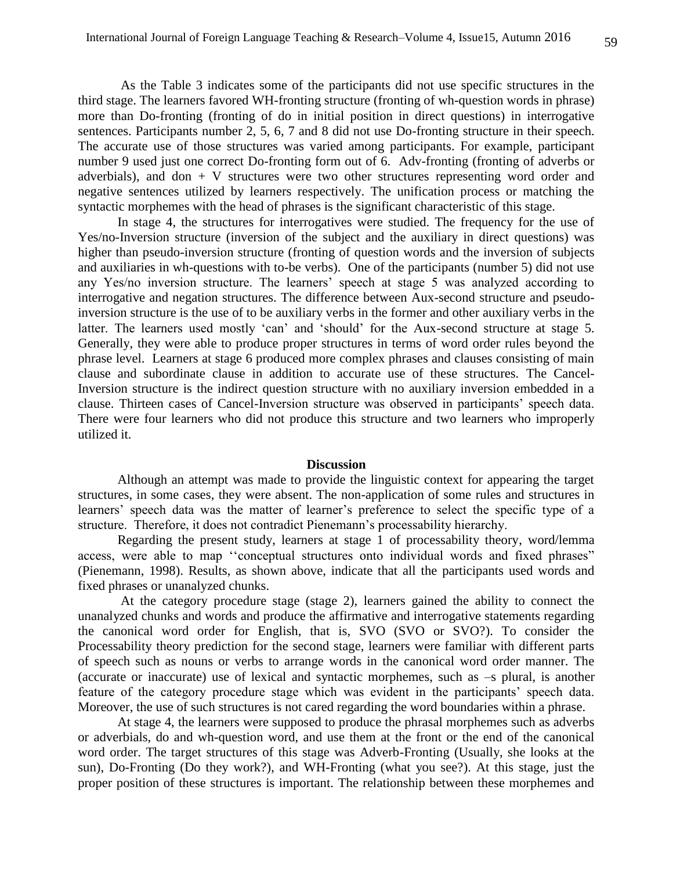As the Table 3 indicates some of the participants did not use specific structures in the third stage. The learners favored WH-fronting structure (fronting of wh-question words in phrase) more than Do-fronting (fronting of do in initial position in direct questions) in interrogative sentences. Participants number 2, 5, 6, 7 and 8 did not use Do-fronting structure in their speech. The accurate use of those structures was varied among participants. For example, participant number 9 used just one correct Do-fronting form out of 6. Adv-fronting (fronting of adverbs or adverbials), and don  $+$  V structures were two other structures representing word order and negative sentences utilized by learners respectively. The unification process or matching the syntactic morphemes with the head of phrases is the significant characteristic of this stage.

 In stage 4, the structures for interrogatives were studied. The frequency for the use of Yes/no-Inversion structure (inversion of the subject and the auxiliary in direct questions) was higher than pseudo-inversion structure (fronting of question words and the inversion of subjects and auxiliaries in wh-questions with to-be verbs). One of the participants (number 5) did not use any Yes/no inversion structure. The learners' speech at stage 5 was analyzed according to interrogative and negation structures. The difference between Aux-second structure and pseudoinversion structure is the use of to be auxiliary verbs in the former and other auxiliary verbs in the latter. The learners used mostly 'can' and 'should' for the Aux-second structure at stage 5. Generally, they were able to produce proper structures in terms of word order rules beyond the phrase level. Learners at stage 6 produced more complex phrases and clauses consisting of main clause and subordinate clause in addition to accurate use of these structures. The Cancel-Inversion structure is the indirect question structure with no auxiliary inversion embedded in a clause. Thirteen cases of Cancel-Inversion structure was observed in participants' speech data. There were four learners who did not produce this structure and two learners who improperly utilized it.

#### **Discussion**

Although an attempt was made to provide the linguistic context for appearing the target structures, in some cases, they were absent. The non-application of some rules and structures in learners' speech data was the matter of learner's preference to select the specific type of a structure. Therefore, it does not contradict Pienemann's processability hierarchy.

 Regarding the present study, learners at stage 1 of processability theory, word/lemma access, were able to map ''conceptual structures onto individual words and fixed phrases" (Pienemann, 1998). Results, as shown above, indicate that all the participants used words and fixed phrases or unanalyzed chunks.

 At the category procedure stage (stage 2), learners gained the ability to connect the unanalyzed chunks and words and produce the affirmative and interrogative statements regarding the canonical word order for English, that is, SVO (SVO or SVO?). To consider the Processability theory prediction for the second stage, learners were familiar with different parts of speech such as nouns or verbs to arrange words in the canonical word order manner. The (accurate or inaccurate) use of lexical and syntactic morphemes, such as –s plural, is another feature of the category procedure stage which was evident in the participants' speech data. Moreover, the use of such structures is not cared regarding the word boundaries within a phrase.

 At stage 4, the learners were supposed to produce the phrasal morphemes such as adverbs or adverbials, do and wh-question word, and use them at the front or the end of the canonical word order. The target structures of this stage was Adverb-Fronting (Usually, she looks at the sun), Do-Fronting (Do they work?), and WH-Fronting (what you see?). At this stage, just the proper position of these structures is important. The relationship between these morphemes and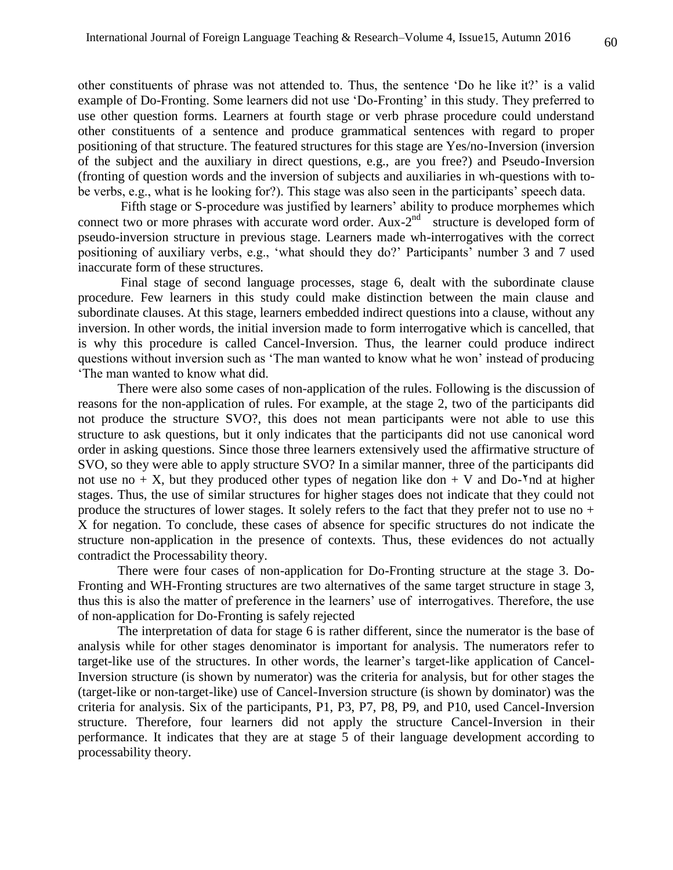other constituents of phrase was not attended to. Thus, the sentence 'Do he like it?' is a valid example of Do-Fronting. Some learners did not use 'Do-Fronting' in this study. They preferred to use other question forms. Learners at fourth stage or verb phrase procedure could understand other constituents of a sentence and produce grammatical sentences with regard to proper positioning of that structure. The featured structures for this stage are Yes/no-Inversion (inversion of the subject and the auxiliary in direct questions, e.g., are you free?) and Pseudo-Inversion (fronting of question words and the inversion of subjects and auxiliaries in wh-questions with tobe verbs, e.g., what is he looking for?). This stage was also seen in the participants' speech data.

 Fifth stage or S-procedure was justified by learners' ability to produce morphemes which connect two or more phrases with accurate word order. Aux- $2<sup>nd</sup>$  structure is developed form of pseudo-inversion structure in previous stage. Learners made wh-interrogatives with the correct positioning of auxiliary verbs, e.g., 'what should they do?' Participants' number 3 and 7 used inaccurate form of these structures.

 Final stage of second language processes, stage 6, dealt with the subordinate clause procedure. Few learners in this study could make distinction between the main clause and subordinate clauses. At this stage, learners embedded indirect questions into a clause, without any inversion. In other words, the initial inversion made to form interrogative which is cancelled, that is why this procedure is called Cancel-Inversion. Thus, the learner could produce indirect questions without inversion such as 'The man wanted to know what he won' instead of producing 'The man wanted to know what did.

 There were also some cases of non-application of the rules. Following is the discussion of reasons for the non-application of rules. For example, at the stage 2, two of the participants did not produce the structure SVO?, this does not mean participants were not able to use this structure to ask questions, but it only indicates that the participants did not use canonical word order in asking questions. Since those three learners extensively used the affirmative structure of SVO, so they were able to apply structure SVO? In a similar manner, three of the participants did not use no + X, but they produced other types of negation like don + V and Do- $\gamma$ nd at higher stages. Thus, the use of similar structures for higher stages does not indicate that they could not produce the structures of lower stages. It solely refers to the fact that they prefer not to use no + X for negation. To conclude, these cases of absence for specific structures do not indicate the structure non-application in the presence of contexts. Thus, these evidences do not actually contradict the Processability theory.

 There were four cases of non-application for Do-Fronting structure at the stage 3. Do-Fronting and WH-Fronting structures are two alternatives of the same target structure in stage 3, thus this is also the matter of preference in the learners' use of interrogatives. Therefore, the use of non-application for Do-Fronting is safely rejected

 The interpretation of data for stage 6 is rather different, since the numerator is the base of analysis while for other stages denominator is important for analysis. The numerators refer to target-like use of the structures. In other words, the learner's target-like application of Cancel-Inversion structure (is shown by numerator) was the criteria for analysis, but for other stages the (target-like or non-target-like) use of Cancel-Inversion structure (is shown by dominator) was the criteria for analysis. Six of the participants, P1, P3, P7, P8, P9, and P10, used Cancel-Inversion structure. Therefore, four learners did not apply the structure Cancel-Inversion in their performance. It indicates that they are at stage 5 of their language development according to processability theory.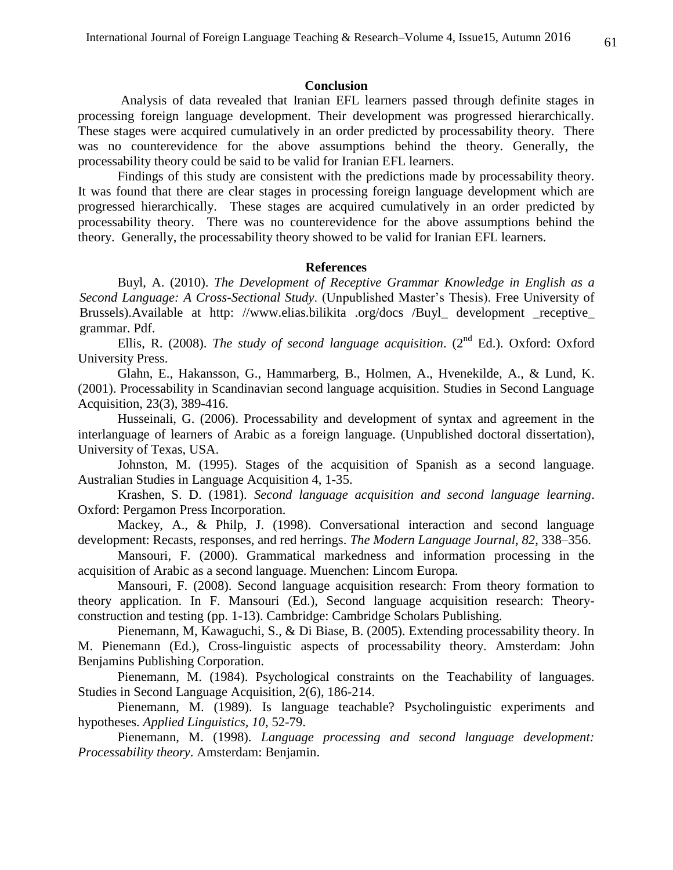#### **Conclusion**

 Analysis of data revealed that Iranian EFL learners passed through definite stages in processing foreign language development. Their development was progressed hierarchically. These stages were acquired cumulatively in an order predicted by processability theory. There was no counterevidence for the above assumptions behind the theory. Generally, the processability theory could be said to be valid for Iranian EFL learners.

 Findings of this study are consistent with the predictions made by processability theory. It was found that there are clear stages in processing foreign language development which are progressed hierarchically. These stages are acquired cumulatively in an order predicted by processability theory. There was no counterevidence for the above assumptions behind the theory. Generally, the processability theory showed to be valid for Iranian EFL learners.

#### **References**

Buyl, A. (2010). *The Development of Receptive Grammar Knowledge in English as a Second Language: A Cross-Sectional Study*. (Unpublished Master's Thesis). Free University of Brussels).Available at http: [//www.elias.bilikita](http://www.elias.bilikita.org/docs/Buyl_development_receptive_grammar.pdf) .org/docs /Buyl\_ development \_receptive\_ [grammar.](http://www.elias.bilikita.org/docs/Buyl_development_receptive_grammar.pdf) Pdf.

Ellis, R. (2008). *The study of second language acquisition*. (2<sup>nd</sup> Ed.). Oxford: Oxford University Press.

Glahn, E., Hakansson, G., Hammarberg, B., Holmen, A., Hvenekilde, A., & Lund, K. (2001). Processability in Scandinavian second language acquisition. Studies in Second Language Acquisition, 23(3), 389-416.

Husseinali, G. (2006). Processability and development of syntax and agreement in the interlanguage of learners of Arabic as a foreign language. (Unpublished doctoral dissertation), University of Texas, USA.

Johnston, M. (1995). Stages of the acquisition of Spanish as a second language. Australian Studies in Language Acquisition 4, 1-35.

Krashen, S. D. (1981). *Second language acquisition and second language learning*. Oxford: Pergamon Press Incorporation.

Mackey, A., & Philp, J. (1998). Conversational interaction and second language development: Recasts, responses, and red herrings. *The Modern Language Journal, 82*, 338–356.

Mansouri, F. (2000). Grammatical markedness and information processing in the acquisition of Arabic as a second language. Muenchen: Lincom Europa.

Mansouri, F. (2008). Second language acquisition research: From theory formation to theory application. In F. Mansouri (Ed.), Second language acquisition research: Theoryconstruction and testing (pp. 1-13). Cambridge: Cambridge Scholars Publishing.

Pienemann, M, Kawaguchi, S., & Di Biase, B. (2005). Extending processability theory. In M. Pienemann (Ed.), Cross-linguistic aspects of processability theory. Amsterdam: John Benjamins Publishing Corporation.

Pienemann, M. (1984). Psychological constraints on the Teachability of languages. Studies in Second Language Acquisition, 2(6), 186-214.

Pienemann, M. (1989). Is language teachable? Psycholinguistic experiments and hypotheses. *Applied Linguistics, 10*, 52-79.

Pienemann, M. (1998). *Language processing and second language development: Processability theory*. Amsterdam: Benjamin.